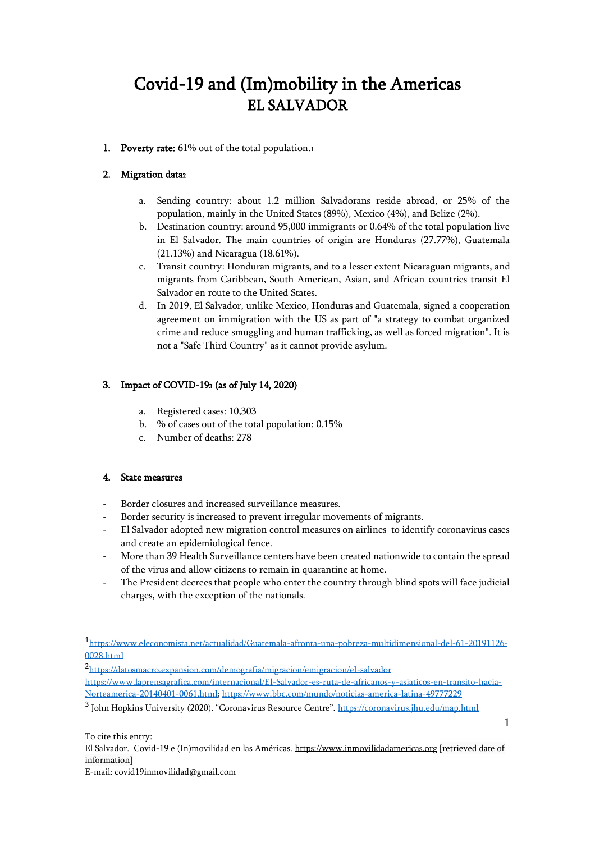# Covid-19 and (Im)mobility in the Americas EL SALVADOR

1. Poverty rate: 61% out of the total population.1

## 2. Migration data<sup>2</sup>

- a. Sending country: about 1.2 million Salvadorans reside abroad, or 25% of the population, mainly in the United States (89%), Mexico (4%), and Belize (2%).
- b. Destination country: around 95,000 immigrants or 0.64% of the total population live in El Salvador. The main countries of origin are Honduras (27.77%), Guatemala (21.13%) and Nicaragua (18.61%).
- c. Transit country: Honduran migrants, and to a lesser extent Nicaraguan migrants, and migrants from Caribbean, South American, Asian, and African countries transit El Salvador en route to the United States.
- d. In 2019, El Salvador, unlike Mexico, Honduras and Guatemala, signed a cooperation agreement on immigration with the US as part of "a strategy to combat organized crime and reduce smuggling and human trafficking, as well as forced migration". It is not a "Safe Third Country" as it cannot provide asylum.

# 3. Impact of COVID-193 (as of July 14, 2020)

- a. Registered cases: 10,303
- b. % of cases out of the total population: 0.15%
- c. Number of deaths: 278

#### 4. State measures

- Border closures and increased surveillance measures.
- Border security is increased to prevent irregular movements of migrants.
- El Salvador adopted new migration control measures on airlines to identify coronavirus cases and create an epidemiological fence.
- More than 39 Health Surveillance centers have been created nationwide to contain the spread of the virus and allow citizens to remain in quarantine at home.
- The President decrees that people who enter the country through blind spots will face judicial charges, with the exception of the nationals.

2 <https://datosmacro.expansion.com/demografia/migracion/emigracion/el-salvador> [https://www.laprensagrafica.com/internacional/El-Salvador-es-ruta-de-africanos-y-asiaticos-en-transito-hacia-](https://www.laprensagrafica.com/internacional/El-Salvador-es-ruta-de-africanos-y-asiaticos-en-transito-hacia-Norteamerica-20140401-0061.html)[Norteamerica-20140401-0061.html;](https://www.laprensagrafica.com/internacional/El-Salvador-es-ruta-de-africanos-y-asiaticos-en-transito-hacia-Norteamerica-20140401-0061.html)<https://www.bbc.com/mundo/noticias-america-latina-49777229>

1

<sup>1</sup> [https://www.eleconomista.net/actualidad/Guatemala-afronta-una-pobreza-multidimensional-del-61-20191126-](https://www.eleconomista.net/actualidad/Guatemala-afronta-una-pobreza-multidimensional-del-61-20191126-0028.html) [0028.html](https://www.eleconomista.net/actualidad/Guatemala-afronta-una-pobreza-multidimensional-del-61-20191126-0028.html)

<sup>&</sup>lt;sup>3</sup> John Hopkins University (2020). "Coronavirus Resource Centre". <https://coronavirus.jhu.edu/map.html>

El Salvador. Covid-19 e (In)movilidad en las Américas[. https://www.inmovilidadamericas.org](https://www.inmovilidadamericas.org/) [retrieved date of information]

E-mail: covid19inmovilidad@gmail.com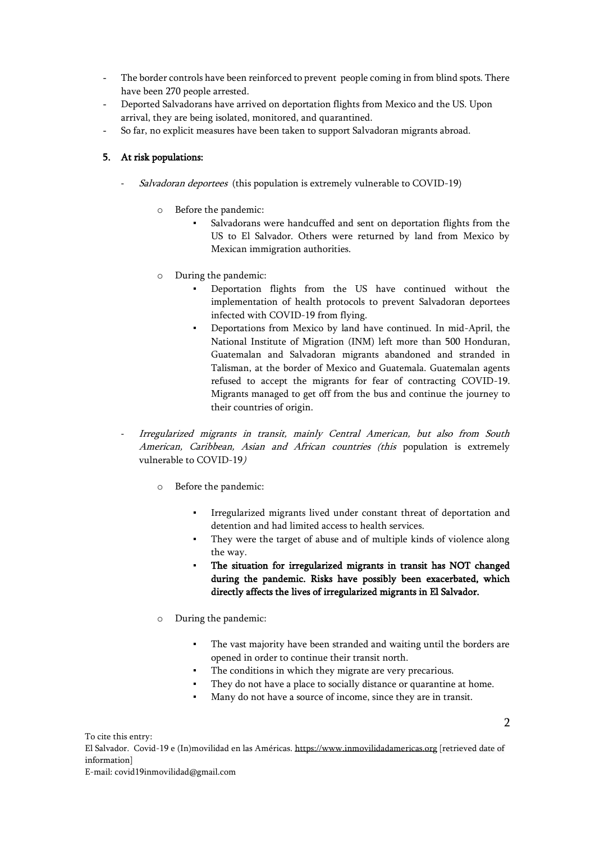- The border controls have been reinforced to prevent people coming in from blind spots. There have been 270 people arrested.
- Deported Salvadorans have arrived on deportation flights from Mexico and the US. Upon arrival, they are being isolated, monitored, and quarantined.
- So far, no explicit measures have been taken to support Salvadoran migrants abroad.

#### 5. At risk populations:

- Salvadoran deportees (this population is extremely vulnerable to COVID-19)
	- o Before the pandemic:
		- Salvadorans were handcuffed and sent on deportation flights from the US to El Salvador. Others were returned by land from Mexico by Mexican immigration authorities.
	- o During the pandemic:
		- Deportation flights from the US have continued without the implementation of health protocols to prevent Salvadoran deportees infected with COVID-19 from flying.
		- Deportations from Mexico by land have continued. In mid-April, the National Institute of Migration (INM) left more than 500 Honduran, Guatemalan and Salvadoran migrants abandoned and stranded in Talisman, at the border of Mexico and Guatemala. Guatemalan agents refused to accept the migrants for fear of contracting COVID-19. Migrants managed to get off from the bus and continue the journey to their countries of origin.
- Irregularized migrants in transit, mainly Central American, but also from South American, Caribbean, Asian and African countries (this population is extremely vulnerable to COVID-19)
	- o Before the pandemic:
		- Irregularized migrants lived under constant threat of deportation and detention and had limited access to health services.
		- They were the target of abuse and of multiple kinds of violence along the way.
		- The situation for irregularized migrants in transit has NOT changed during the pandemic. Risks have possibly been exacerbated, which directly affects the lives of irregularized migrants in El Salvador.
	- o During the pandemic:
		- The vast majority have been stranded and waiting until the borders are opened in order to continue their transit north.
		- The conditions in which they migrate are very precarious.
		- They do not have a place to socially distance or quarantine at home.
		- Many do not have a source of income, since they are in transit.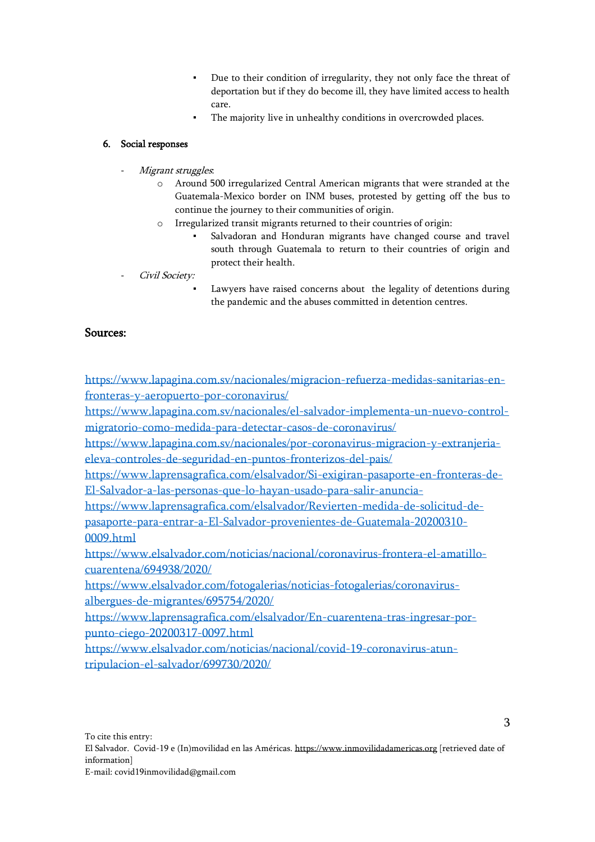- Due to their condition of irregularity, they not only face the threat of deportation but if they do become ill, they have limited access to health care.
- The majority live in unhealthy conditions in overcrowded places.

### 6. Social responses

- Migrant struggles.
	- o Around 500 irregularized Central American migrants that were stranded at the Guatemala-Mexico border on INM buses, protested by getting off the bus to continue the journey to their communities of origin.
	- o Irregularized transit migrants returned to their countries of origin:
		- Salvadoran and Honduran migrants have changed course and travel south through Guatemala to return to their countries of origin and protect their health.
- Civil Society:
	- Lawyers have raised concerns about the legality of detentions during the pandemic and the abuses committed in detention centres.

## Sources:

[https://www.lapagina.com.sv/nacionales/migracion-refuerza-medidas-sanitarias-en](https://www.lapagina.com.sv/nacionales/migracion-refuerza-medidas-sanitarias-en-fronteras-y-aeropuerto-por-coronavirus/)[fronteras-y-aeropuerto-por-coronavirus/](https://www.lapagina.com.sv/nacionales/migracion-refuerza-medidas-sanitarias-en-fronteras-y-aeropuerto-por-coronavirus/)

[https://www.lapagina.com.sv/nacionales/el-salvador-implementa-un-nuevo-control](https://www.lapagina.com.sv/nacionales/el-salvador-implementa-un-nuevo-control-migratorio-como-medida-para-detectar-casos-de-coronavirus/)[migratorio-como-medida-para-detectar-casos-de-coronavirus/](https://www.lapagina.com.sv/nacionales/el-salvador-implementa-un-nuevo-control-migratorio-como-medida-para-detectar-casos-de-coronavirus/)

[https://www.lapagina.com.sv/nacionales/por-coronavirus-migracion-y-extranjeria](https://www.lapagina.com.sv/nacionales/por-coronavirus-migracion-y-extranjeria-eleva-controles-de-seguridad-en-puntos-fronterizos-del-pais/)[eleva-controles-de-seguridad-en-puntos-fronterizos-del-pais/](https://www.lapagina.com.sv/nacionales/por-coronavirus-migracion-y-extranjeria-eleva-controles-de-seguridad-en-puntos-fronterizos-del-pais/)

[https://www.laprensagrafica.com/elsalvador/Si-exigiran-pasaporte-en-fronteras-de-](https://www.laprensagrafica.com/elsalvador/Si-exigiran-pasaporte-en-fronteras-de-El-Salvador-a-las-personas-que-lo-hayan-usado-para-salir-anuncia-)[El-Salvador-a-las-personas-que-lo-hayan-usado-para-salir-anuncia-](https://www.laprensagrafica.com/elsalvador/Si-exigiran-pasaporte-en-fronteras-de-El-Salvador-a-las-personas-que-lo-hayan-usado-para-salir-anuncia-)

[https://www.laprensagrafica.com/elsalvador/Revierten-medida-de-solicitud-de](https://www.laprensagrafica.com/elsalvador/Revierten-medida-de-solicitud-de-pasaporte-para-entrar-a-El-Salvador-provenientes-de-Guatemala-20200310-0009.html)[pasaporte-para-entrar-a-El-Salvador-provenientes-de-Guatemala-20200310-](https://www.laprensagrafica.com/elsalvador/Revierten-medida-de-solicitud-de-pasaporte-para-entrar-a-El-Salvador-provenientes-de-Guatemala-20200310-0009.html) [0009.html](https://www.laprensagrafica.com/elsalvador/Revierten-medida-de-solicitud-de-pasaporte-para-entrar-a-El-Salvador-provenientes-de-Guatemala-20200310-0009.html)

[https://www.elsalvador.com/noticias/nacional/coronavirus-frontera-el-amatillo](https://www.elsalvador.com/noticias/nacional/coronavirus-frontera-el-amatillo-cuarentena/694938/2020/)[cuarentena/694938/2020/](https://www.elsalvador.com/noticias/nacional/coronavirus-frontera-el-amatillo-cuarentena/694938/2020/)

[https://www.elsalvador.com/fotogalerias/noticias-fotogalerias/coronavirus](https://www.elsalvador.com/fotogalerias/noticias-fotogalerias/coronavirus-albergues-de-migrantes/695754/2020/)[albergues-de-migrantes/695754/2020/](https://www.elsalvador.com/fotogalerias/noticias-fotogalerias/coronavirus-albergues-de-migrantes/695754/2020/)

[https://www.laprensagrafica.com/elsalvador/En-cuarentena-tras-ingresar-por](https://www.laprensagrafica.com/elsalvador/En-cuarentena-tras-ingresar-por-punto-ciego-20200317-0097.html)[punto-ciego-20200317-0097.html](https://www.laprensagrafica.com/elsalvador/En-cuarentena-tras-ingresar-por-punto-ciego-20200317-0097.html)

[https://www.elsalvador.com/noticias/nacional/covid-19-coronavirus-atun](https://www.elsalvador.com/noticias/nacional/covid-19-coronavirus-atun-tripulacion-el-salvador/699730/2020/)[tripulacion-el-salvador/699730/2020/](https://www.elsalvador.com/noticias/nacional/covid-19-coronavirus-atun-tripulacion-el-salvador/699730/2020/)